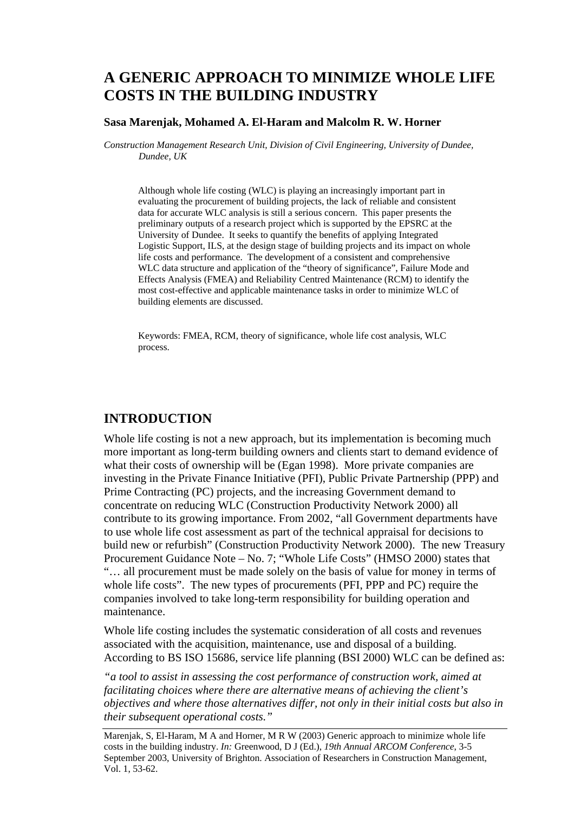# **A GENERIC APPROACH TO MINIMIZE WHOLE LIFE COSTS IN THE BUILDING INDUSTRY**

#### **Sasa Marenjak, Mohamed A. El-Haram and Malcolm R. W. Horner**

*Construction Management Research Unit, Division of Civil Engineering, University of Dundee, Dundee, UK* 

Although whole life costing (WLC) is playing an increasingly important part in evaluating the procurement of building projects, the lack of reliable and consistent data for accurate WLC analysis is still a serious concern. This paper presents the preliminary outputs of a research project which is supported by the EPSRC at the University of Dundee. It seeks to quantify the benefits of applying Integrated Logistic Support, ILS, at the design stage of building projects and its impact on whole life costs and performance. The development of a consistent and comprehensive WLC data structure and application of the "theory of significance", Failure Mode and Effects Analysis (FMEA) and Reliability Centred Maintenance (RCM) to identify the most cost-effective and applicable maintenance tasks in order to minimize WLC of building elements are discussed.

Keywords: FMEA, RCM, theory of significance, whole life cost analysis, WLC process.

# **INTRODUCTION**

Whole life costing is not a new approach, but its implementation is becoming much more important as long-term building owners and clients start to demand evidence of what their costs of ownership will be (Egan 1998). More private companies are investing in the Private Finance Initiative (PFI), Public Private Partnership (PPP) and Prime Contracting (PC) projects, and the increasing Government demand to concentrate on reducing WLC (Construction Productivity Network 2000) all contribute to its growing importance. From 2002, "all Government departments have to use whole life cost assessment as part of the technical appraisal for decisions to build new or refurbish" (Construction Productivity Network 2000). The new Treasury Procurement Guidance Note – No. 7; "Whole Life Costs" (HMSO 2000) states that "… all procurement must be made solely on the basis of value for money in terms of whole life costs". The new types of procurements (PFI, PPP and PC) require the companies involved to take long-term responsibility for building operation and maintenance.

Whole life costing includes the systematic consideration of all costs and revenues associated with the acquisition, maintenance, use and disposal of a building. According to BS ISO 15686, service life planning (BSI 2000) WLC can be defined as:

*"a tool to assist in assessing the cost performance of construction work, aimed at facilitating choices where there are alternative means of achieving the client's objectives and where those alternatives differ, not only in their initial costs but also in their subsequent operational costs."* 

Marenjak, S, El-Haram, M A and Horner, M R W (2003) Generic approach to minimize whole life costs in the building industry. *In:* Greenwood, D J (Ed.), *19th Annual ARCOM Conference*, 3-5 September 2003, University of Brighton. Association of Researchers in Construction Management, Vol. 1, 53-62.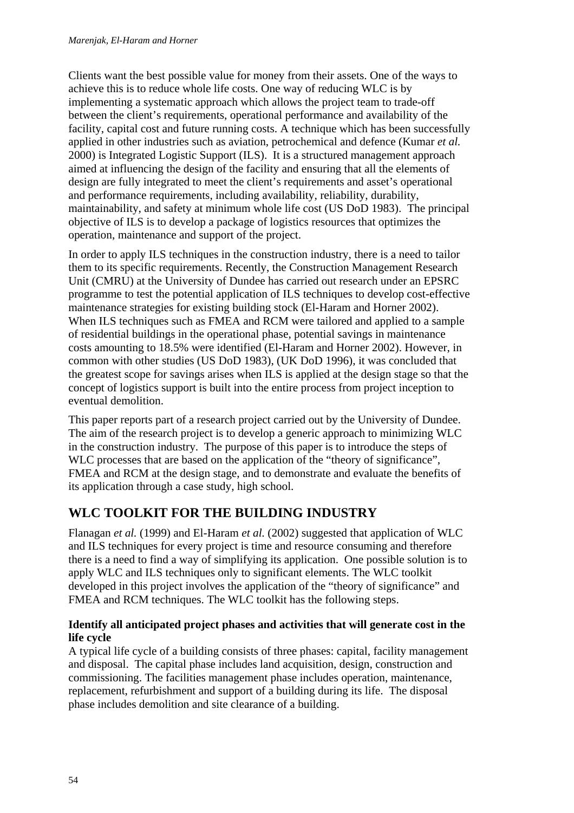Clients want the best possible value for money from their assets. One of the ways to achieve this is to reduce whole life costs. One way of reducing WLC is by implementing a systematic approach which allows the project team to trade-off between the client's requirements, operational performance and availability of the facility, capital cost and future running costs. A technique which has been successfully applied in other industries such as aviation, petrochemical and defence (Kumar *et al.* 2000) is Integrated Logistic Support (ILS). It is a structured management approach aimed at influencing the design of the facility and ensuring that all the elements of design are fully integrated to meet the client's requirements and asset's operational and performance requirements, including availability, reliability, durability, maintainability, and safety at minimum whole life cost (US DoD 1983). The principal objective of ILS is to develop a package of logistics resources that optimizes the operation, maintenance and support of the project.

In order to apply ILS techniques in the construction industry, there is a need to tailor them to its specific requirements. Recently, the Construction Management Research Unit (CMRU) at the University of Dundee has carried out research under an EPSRC programme to test the potential application of ILS techniques to develop cost-effective maintenance strategies for existing building stock (El-Haram and Horner 2002). When ILS techniques such as FMEA and RCM were tailored and applied to a sample of residential buildings in the operational phase, potential savings in maintenance costs amounting to 18.5% were identified (El-Haram and Horner 2002). However, in common with other studies (US DoD 1983), (UK DoD 1996), it was concluded that the greatest scope for savings arises when ILS is applied at the design stage so that the concept of logistics support is built into the entire process from project inception to eventual demolition.

This paper reports part of a research project carried out by the University of Dundee. The aim of the research project is to develop a generic approach to minimizing WLC in the construction industry. The purpose of this paper is to introduce the steps of WLC processes that are based on the application of the "theory of significance". FMEA and RCM at the design stage, and to demonstrate and evaluate the benefits of its application through a case study, high school.

# **WLC TOOLKIT FOR THE BUILDING INDUSTRY**

Flanagan *et al.* (1999) and El-Haram *et al.* (2002) suggested that application of WLC and ILS techniques for every project is time and resource consuming and therefore there is a need to find a way of simplifying its application. One possible solution is to apply WLC and ILS techniques only to significant elements. The WLC toolkit developed in this project involves the application of the "theory of significance" and FMEA and RCM techniques. The WLC toolkit has the following steps.

## **Identify all anticipated project phases and activities that will generate cost in the life cycle**

A typical life cycle of a building consists of three phases: capital, facility management and disposal. The capital phase includes land acquisition, design, construction and commissioning. The facilities management phase includes operation, maintenance, replacement, refurbishment and support of a building during its life. The disposal phase includes demolition and site clearance of a building.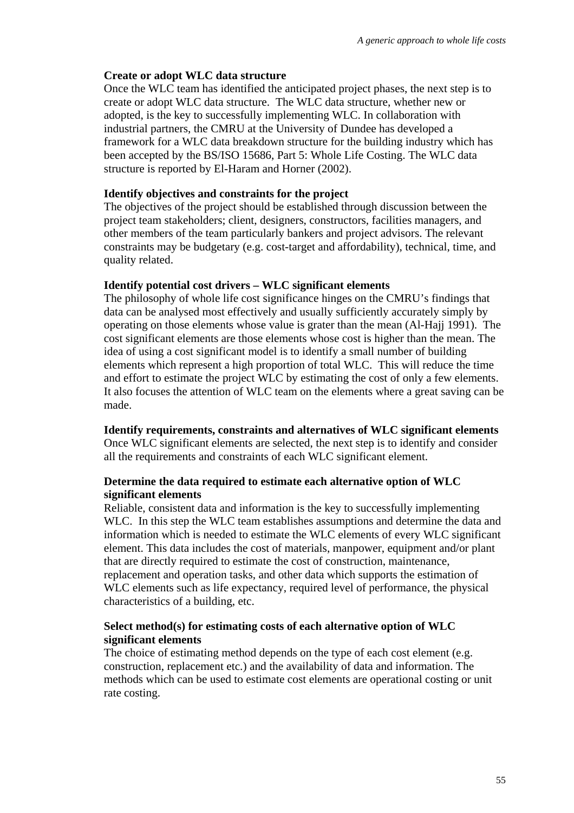#### **Create or adopt WLC data structure**

Once the WLC team has identified the anticipated project phases, the next step is to create or adopt WLC data structure. The WLC data structure, whether new or adopted, is the key to successfully implementing WLC. In collaboration with industrial partners, the CMRU at the University of Dundee has developed a framework for a WLC data breakdown structure for the building industry which has been accepted by the BS/ISO 15686, Part 5: Whole Life Costing. The WLC data structure is reported by El-Haram and Horner (2002).

#### **Identify objectives and constraints for the project**

The objectives of the project should be established through discussion between the project team stakeholders; client, designers, constructors, facilities managers, and other members of the team particularly bankers and project advisors. The relevant constraints may be budgetary (e.g. cost-target and affordability), technical, time, and quality related.

#### **Identify potential cost drivers – WLC significant elements**

The philosophy of whole life cost significance hinges on the CMRU's findings that data can be analysed most effectively and usually sufficiently accurately simply by operating on those elements whose value is grater than the mean (Al-Hajj 1991). The cost significant elements are those elements whose cost is higher than the mean. The idea of using a cost significant model is to identify a small number of building elements which represent a high proportion of total WLC. This will reduce the time and effort to estimate the project WLC by estimating the cost of only a few elements. It also focuses the attention of WLC team on the elements where a great saving can be made.

#### **Identify requirements, constraints and alternatives of WLC significant elements**

Once WLC significant elements are selected, the next step is to identify and consider all the requirements and constraints of each WLC significant element.

#### **Determine the data required to estimate each alternative option of WLC significant elements**

Reliable, consistent data and information is the key to successfully implementing WLC. In this step the WLC team establishes assumptions and determine the data and information which is needed to estimate the WLC elements of every WLC significant element. This data includes the cost of materials, manpower, equipment and/or plant that are directly required to estimate the cost of construction, maintenance, replacement and operation tasks, and other data which supports the estimation of WLC elements such as life expectancy, required level of performance, the physical characteristics of a building, etc.

## **Select method(s) for estimating costs of each alternative option of WLC significant elements**

The choice of estimating method depends on the type of each cost element (e.g. construction, replacement etc.) and the availability of data and information. The methods which can be used to estimate cost elements are operational costing or unit rate costing.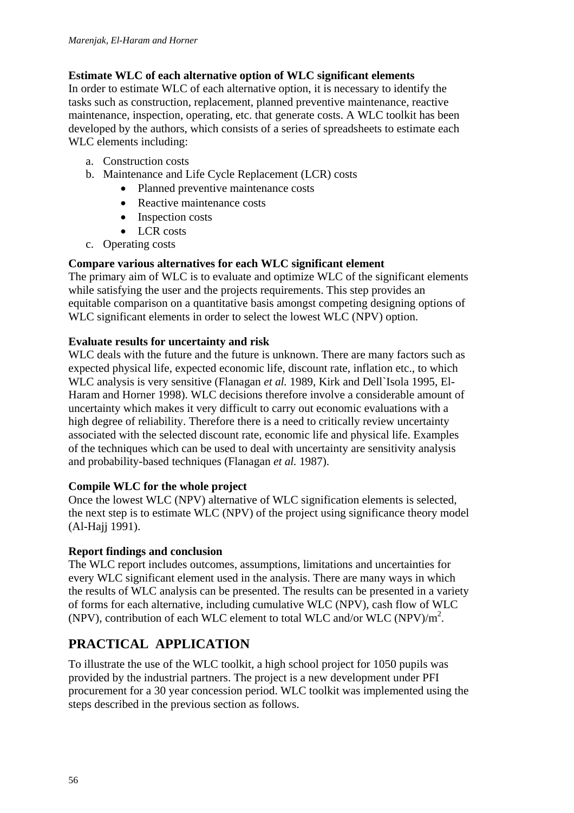## **Estimate WLC of each alternative option of WLC significant elements**

In order to estimate WLC of each alternative option, it is necessary to identify the tasks such as construction, replacement, planned preventive maintenance, reactive maintenance, inspection, operating, etc. that generate costs. A WLC toolkit has been developed by the authors, which consists of a series of spreadsheets to estimate each WLC elements including:

- a. Construction costs
- b. Maintenance and Life Cycle Replacement (LCR) costs
	- Planned preventive maintenance costs
	- Reactive maintenance costs
	- Inspection costs
	- LCR costs
- c. Operating costs

## **Compare various alternatives for each WLC significant element**

The primary aim of WLC is to evaluate and optimize WLC of the significant elements while satisfying the user and the projects requirements. This step provides an equitable comparison on a quantitative basis amongst competing designing options of WLC significant elements in order to select the lowest WLC (NPV) option.

#### **Evaluate results for uncertainty and risk**

WLC deals with the future and the future is unknown. There are many factors such as expected physical life, expected economic life, discount rate, inflation etc., to which WLC analysis is very sensitive (Flanagan *et al.* 1989, Kirk and Dell`Isola 1995, El-Haram and Horner 1998). WLC decisions therefore involve a considerable amount of uncertainty which makes it very difficult to carry out economic evaluations with a high degree of reliability. Therefore there is a need to critically review uncertainty associated with the selected discount rate, economic life and physical life. Examples of the techniques which can be used to deal with uncertainty are sensitivity analysis and probability-based techniques (Flanagan *et al.* 1987).

## **Compile WLC for the whole project**

Once the lowest WLC (NPV) alternative of WLC signification elements is selected, the next step is to estimate WLC (NPV) of the project using significance theory model (Al-Hajj 1991).

## **Report findings and conclusion**

The WLC report includes outcomes, assumptions, limitations and uncertainties for every WLC significant element used in the analysis. There are many ways in which the results of WLC analysis can be presented. The results can be presented in a variety of forms for each alternative, including cumulative WLC (NPV), cash flow of WLC (NPV), contribution of each WLC element to total WLC and/or WLC (NPV)/m2 .

# **PRACTICAL APPLICATION**

To illustrate the use of the WLC toolkit, a high school project for 1050 pupils was provided by the industrial partners. The project is a new development under PFI procurement for a 30 year concession period. WLC toolkit was implemented using the steps described in the previous section as follows.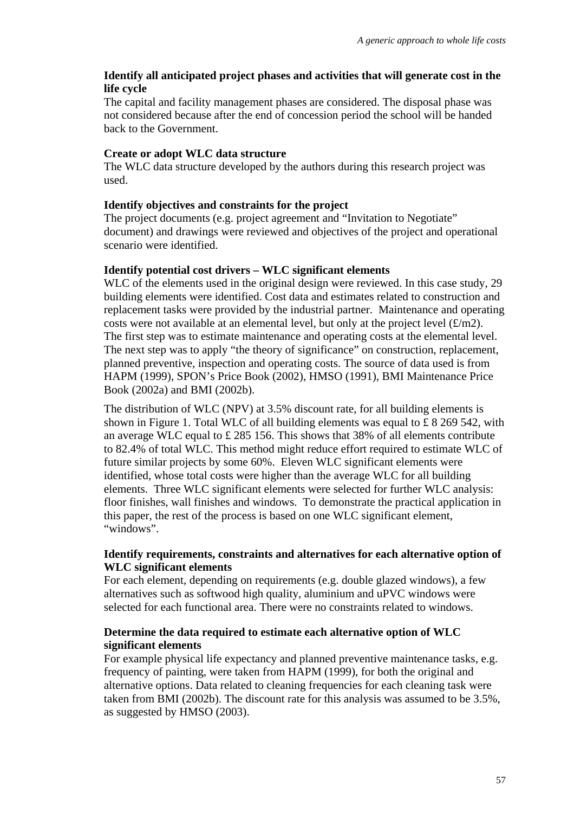## **Identify all anticipated project phases and activities that will generate cost in the life cycle**

The capital and facility management phases are considered. The disposal phase was not considered because after the end of concession period the school will be handed back to the Government.

#### **Create or adopt WLC data structure**

The WLC data structure developed by the authors during this research project was used.

## **Identify objectives and constraints for the project**

The project documents (e.g. project agreement and "Invitation to Negotiate" document) and drawings were reviewed and objectives of the project and operational scenario were identified.

## **Identify potential cost drivers – WLC significant elements**

WLC of the elements used in the original design were reviewed. In this case study, 29 building elements were identified. Cost data and estimates related to construction and replacement tasks were provided by the industrial partner. Maintenance and operating costs were not available at an elemental level, but only at the project level  $(f/m2)$ . The first step was to estimate maintenance and operating costs at the elemental level. The next step was to apply "the theory of significance" on construction, replacement, planned preventive, inspection and operating costs. The source of data used is from HAPM (1999), SPON's Price Book (2002), HMSO (1991), BMI Maintenance Price Book (2002a) and BMI (2002b).

The distribution of WLC (NPV) at 3.5% discount rate, for all building elements is shown in Figure 1. Total WLC of all building elements was equal to £ 8 269 542, with an average WLC equal to £ 285 156. This shows that 38% of all elements contribute to 82.4% of total WLC. This method might reduce effort required to estimate WLC of future similar projects by some 60%. Eleven WLC significant elements were identified, whose total costs were higher than the average WLC for all building elements. Three WLC significant elements were selected for further WLC analysis: floor finishes, wall finishes and windows. To demonstrate the practical application in this paper, the rest of the process is based on one WLC significant element, "windows".

## **Identify requirements, constraints and alternatives for each alternative option of WLC significant elements**

For each element, depending on requirements (e.g. double glazed windows), a few alternatives such as softwood high quality, aluminium and uPVC windows were selected for each functional area. There were no constraints related to windows.

## **Determine the data required to estimate each alternative option of WLC significant elements**

For example physical life expectancy and planned preventive maintenance tasks, e.g. frequency of painting, were taken from HAPM (1999), for both the original and alternative options. Data related to cleaning frequencies for each cleaning task were taken from BMI (2002b). The discount rate for this analysis was assumed to be 3.5%, as suggested by HMSO (2003).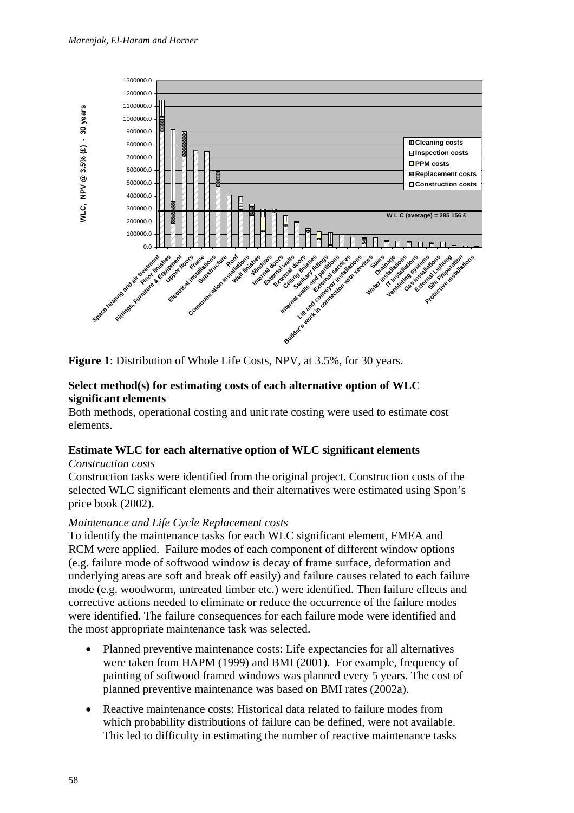

**Figure 1**: Distribution of Whole Life Costs, NPV, at 3.5%, for 30 years.

## **Select method(s) for estimating costs of each alternative option of WLC significant elements**

Both methods, operational costing and unit rate costing were used to estimate cost elements.

## **Estimate WLC for each alternative option of WLC significant elements**

#### *Construction costs*

Construction tasks were identified from the original project. Construction costs of the selected WLC significant elements and their alternatives were estimated using Spon's price book (2002).

## *Maintenance and Life Cycle Replacement costs*

To identify the maintenance tasks for each WLC significant element, FMEA and RCM were applied. Failure modes of each component of different window options (e.g. failure mode of softwood window is decay of frame surface, deformation and underlying areas are soft and break off easily) and failure causes related to each failure mode (e.g. woodworm, untreated timber etc.) were identified. Then failure effects and corrective actions needed to eliminate or reduce the occurrence of the failure modes were identified. The failure consequences for each failure mode were identified and the most appropriate maintenance task was selected.

- Planned preventive maintenance costs: Life expectancies for all alternatives were taken from HAPM (1999) and BMI (2001). For example, frequency of painting of softwood framed windows was planned every 5 years. The cost of planned preventive maintenance was based on BMI rates (2002a).
- Reactive maintenance costs: Historical data related to failure modes from which probability distributions of failure can be defined, were not available. This led to difficulty in estimating the number of reactive maintenance tasks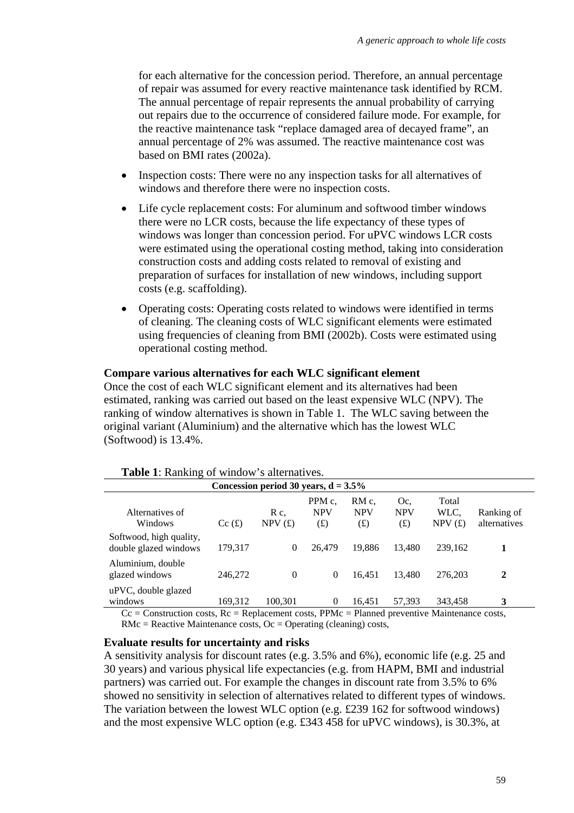for each alternative for the concession period. Therefore, an annual percentage of repair was assumed for every reactive maintenance task identified by RCM. The annual percentage of repair represents the annual probability of carrying out repairs due to the occurrence of considered failure mode. For example, for the reactive maintenance task "replace damaged area of decayed frame", an annual percentage of 2% was assumed. The reactive maintenance cost was based on BMI rates (2002a).

- Inspection costs: There were no any inspection tasks for all alternatives of windows and therefore there were no inspection costs.
- Life cycle replacement costs: For aluminum and softwood timber windows there were no LCR costs, because the life expectancy of these types of windows was longer than concession period. For uPVC windows LCR costs were estimated using the operational costing method, taking into consideration construction costs and adding costs related to removal of existing and preparation of surfaces for installation of new windows, including support costs (e.g. scaffolding).
- Operating costs: Operating costs related to windows were identified in terms of cleaning. The cleaning costs of WLC significant elements were estimated using frequencies of cleaning from BMI (2002b). Costs were estimated using operational costing method.

#### **Compare various alternatives for each WLC significant element**

Once the cost of each WLC significant element and its alternatives had been estimated, ranking was carried out based on the least expensive WLC (NPV). The ranking of window alternatives is shown in Table 1. The WLC saving between the original variant (Aluminium) and the alternative which has the lowest WLC (Softwood) is 13.4%.

| <b>THERE</b> Is reducing of which $\theta$ we determine the                                                                                                                                                                                                                                                                                                          |         |                |                             |                            |                             |                         |                            |
|----------------------------------------------------------------------------------------------------------------------------------------------------------------------------------------------------------------------------------------------------------------------------------------------------------------------------------------------------------------------|---------|----------------|-----------------------------|----------------------------|-----------------------------|-------------------------|----------------------------|
| Concession period 30 years, $d = 3.5\%$                                                                                                                                                                                                                                                                                                                              |         |                |                             |                            |                             |                         |                            |
| Alternatives of<br>Windows                                                                                                                                                                                                                                                                                                                                           | Cc(f)   | R c.<br>NPV(f) | PPM c.<br><b>NPV</b><br>(f) | RM c.<br><b>NPV</b><br>(f) | Oc.<br><b>NPV</b><br>(f(x)) | Total<br>WLC.<br>NPV(f) | Ranking of<br>alternatives |
| Softwood, high quality,<br>double glazed windows                                                                                                                                                                                                                                                                                                                     | 179,317 | $\theta$       | 26.479                      | 19.886                     | 13.480                      | 239.162                 | 1                          |
| Aluminium, double<br>glazed windows                                                                                                                                                                                                                                                                                                                                  | 246,272 | $\Omega$       | $\left($                    | 16.451                     | 13.480                      | 276,203                 | 2                          |
| uPVC, double glazed<br>windows<br>$\Omega$ . $\Omega$ , $\Omega$ is the set of $\mathbf{D}$ . $\mathbf{D}$ and $\Omega$ is the $\mathbf{D}$ $\mathbf{D}$ $\mathbf{D}$ , $\mathbf{D}$ $\mathbf{D}$ , $\mathbf{D}$ $\mathbf{D}$ , $\mathbf{D}$ $\mathbf{D}$ , $\mathbf{D}$ , $\mathbf{D}$ , $\mathbf{D}$ , $\mathbf{D}$ , $\mathbf{D}$ , $\mathbf{D}$ , $\mathbf{D}$ , | 169,312 | 100.301        | $\theta$                    | 16.451                     | 57.393                      | 343.458                 | 3                          |

**Table 1**: Ranking of window's alternatives.

 $Cc =$  Construction costs,  $Rc =$  Replacement costs, PPMc = Planned preventive Maintenance costs,  $RMC =$  Reactive Maintenance costs,  $Oc =$  Operating (cleaning) costs,

#### **Evaluate results for uncertainty and risks**

A sensitivity analysis for discount rates (e.g. 3.5% and 6%), economic life (e.g. 25 and 30 years) and various physical life expectancies (e.g. from HAPM, BMI and industrial partners) was carried out. For example the changes in discount rate from 3.5% to 6% showed no sensitivity in selection of alternatives related to different types of windows. The variation between the lowest WLC option (e.g. £239 162 for softwood windows) and the most expensive WLC option (e.g. £343 458 for uPVC windows), is 30.3%, at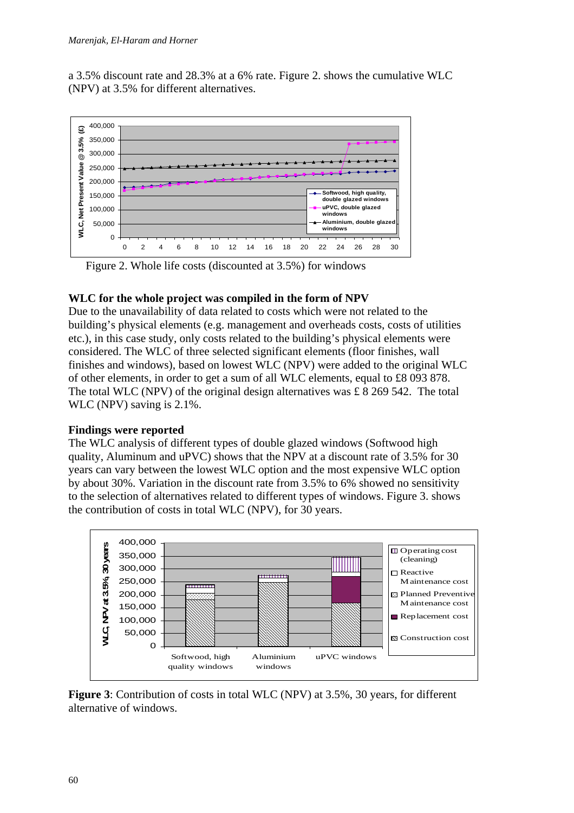a 3.5% discount rate and 28.3% at a 6% rate. Figure 2. shows the cumulative WLC (NPV) at 3.5% for different alternatives.



Figure 2. Whole life costs (discounted at 3.5%) for windows

## **WLC for the whole project was compiled in the form of NPV**

Due to the unavailability of data related to costs which were not related to the building's physical elements (e.g. management and overheads costs, costs of utilities etc.), in this case study, only costs related to the building's physical elements were considered. The WLC of three selected significant elements (floor finishes, wall finishes and windows), based on lowest WLC (NPV) were added to the original WLC of other elements, in order to get a sum of all WLC elements, equal to £8 093 878. The total WLC (NPV) of the original design alternatives was  $\pounds 8$  269 542. The total WLC (NPV) saving is 2.1%.

#### **Findings were reported**

The WLC analysis of different types of double glazed windows (Softwood high quality, Aluminum and uPVC) shows that the NPV at a discount rate of 3.5% for 30 years can vary between the lowest WLC option and the most expensive WLC option by about 30%. Variation in the discount rate from 3.5% to 6% showed no sensitivity to the selection of alternatives related to different types of windows. Figure 3. shows the contribution of costs in total WLC (NPV), for 30 years.



**Figure 3**: Contribution of costs in total WLC (NPV) at 3.5%, 30 years, for different alternative of windows.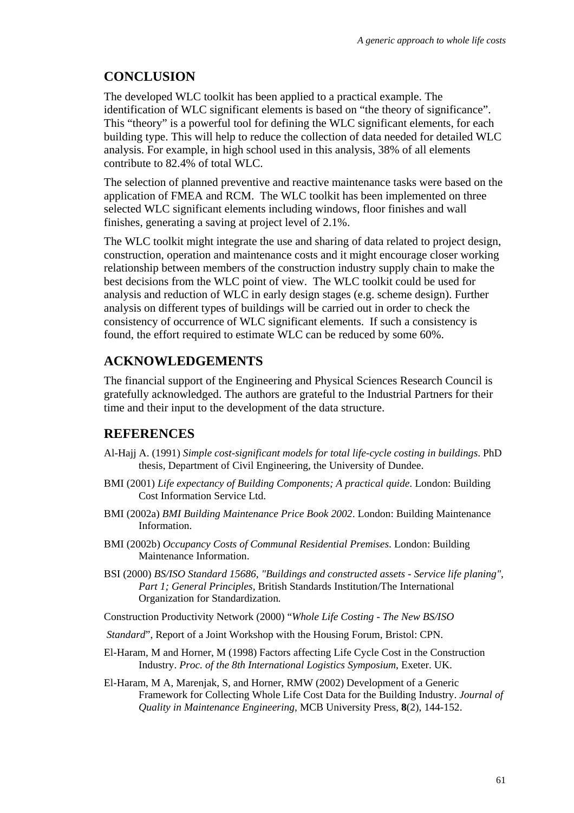# **CONCLUSION**

The developed WLC toolkit has been applied to a practical example. The identification of WLC significant elements is based on "the theory of significance". This "theory" is a powerful tool for defining the WLC significant elements, for each building type. This will help to reduce the collection of data needed for detailed WLC analysis. For example, in high school used in this analysis, 38% of all elements contribute to 82.4% of total WLC.

The selection of planned preventive and reactive maintenance tasks were based on the application of FMEA and RCM. The WLC toolkit has been implemented on three selected WLC significant elements including windows, floor finishes and wall finishes, generating a saving at project level of 2.1%.

The WLC toolkit might integrate the use and sharing of data related to project design, construction, operation and maintenance costs and it might encourage closer working relationship between members of the construction industry supply chain to make the best decisions from the WLC point of view. The WLC toolkit could be used for analysis and reduction of WLC in early design stages (e.g. scheme design). Further analysis on different types of buildings will be carried out in order to check the consistency of occurrence of WLC significant elements. If such a consistency is found, the effort required to estimate WLC can be reduced by some 60%.

## **ACKNOWLEDGEMENTS**

The financial support of the Engineering and Physical Sciences Research Council is gratefully acknowledged. The authors are grateful to the Industrial Partners for their time and their input to the development of the data structure.

# **REFERENCES**

- Al-Hajj A. (1991) *Simple cost-significant models for total life-cycle costing in buildings*. PhD thesis, Department of Civil Engineering, the University of Dundee.
- BMI (2001) *Life expectancy of Building Components; A practical quide*. London: Building Cost Information Service Ltd.
- BMI (2002a) *BMI Building Maintenance Price Book 2002*. London: Building Maintenance Information.
- BMI (2002b) *Occupancy Costs of Communal Residential Premises*. London: Building Maintenance Information.
- BSI (2000) *BS/ISO Standard 15686, "Buildings and constructed assets Service life planing", Part 1; General Principles,* British Standards Institution/The International Organization for Standardization*.*
- Construction Productivity Network (2000) "*Whole Life Costing The New BS/ISO*
- *Standard*", Report of a Joint Workshop with the Housing Forum, Bristol: CPN.
- El-Haram, M and Horner, M (1998) Factors affecting Life Cycle Cost in the Construction Industry. *Proc. of the 8th International Logistics Symposium*, Exeter. UK.
- El-Haram, M A, Marenjak, S, and Horner, RMW (2002) Development of a Generic Framework for Collecting Whole Life Cost Data for the Building Industry. *Journal of Quality in Maintenance Engineering*, MCB University Press, **8**(2), 144-152.